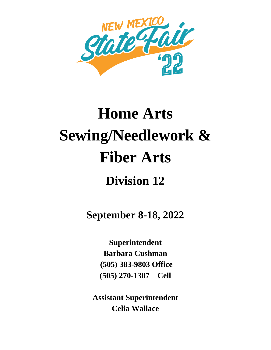

# **Home Arts Sewing/Needlework & Fiber Arts Division 12**

**September 8-18, 2022**

**Superintendent Barbara Cushman (505) 383-9803 Office (505) 270-1307 Cell**

**Assistant Superintendent Celia Wallace**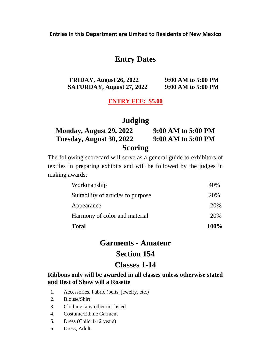# **Entry Dates**

**FRIDAY, August 26, 2022 9:00 AM to 5:00 PM SATURDAY, August 27, 2022 9:00 AM to 5:00 PM**

#### **ENTRY FEE: \$5.00**

# **Judging**

| Monday, August 29, 2022  | 9:00 AM to 5:00 PM |
|--------------------------|--------------------|
| Tuesday, August 30, 2022 | 9:00 AM to 5:00 PM |
| <b>Scoring</b>           |                    |

The following scorecard will serve as a general guide to exhibitors of textiles in preparing exhibits and will be followed by the judges in making awards:

| <b>Total</b>                       | 100% |
|------------------------------------|------|
| Harmony of color and material      | 20%  |
| Appearance                         | 20%  |
| Suitability of articles to purpose | 20%  |
| Workmanship                        | 40%  |

# **Garments - Amateur Section 154**

# **Classes 1-14**

#### **Ribbons only will be awarded in all classes unless otherwise stated and Best of Show will a Rosette**

- 1. Accessories, Fabric (belts, jewelry, etc.)
- 2. Blouse/Shirt
- 3. Clothing, any other not listed
- 4. Costume/Ethnic Garment
- 5. Dress (Child 1-12 years)
- 6. Dress, Adult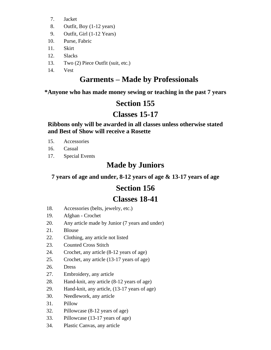- 7. Jacket
- 8. Outfit, Boy (1-12 years)
- 9. Outfit, Girl (1-12 Years)
- 10. Purse, Fabric
- 11. Skirt
- 12. Slacks
- 13. Two (2) Piece Outfit (suit, etc.)
- 14. Vest

# **Garments – Made by Professionals**

**\*Anyone who has made money sewing or teaching in the past 7 years**

# **Section 155**

# **Classes 15-17**

**Ribbons only will be awarded in all classes unless otherwise stated and Best of Show will receive a Rosette**

- 15. Accessories
- 16. Casual
- 17. Special Events

# **Made by Juniors**

**7 years of age and under, 8-12 years of age & 13-17 years of age**

# **Section 156**

# **Classes 18-41**

- 18. Accessories (belts, jewelry, etc.)
- 19. Afghan Crochet
- 20. Any article made by Junior (7 years and under)
- 21. Blouse
- 22. Clothing, any article not listed
- 23. Counted Cross Stitch
- 24. Crochet, any article (8-12 years of age)
- 25. Crochet, any article (13-17 years of age)
- 26. Dress
- 27. Embroidery, any article
- 28. Hand-knit, any article (8-12 years of age)
- 29. Hand-knit, any article, (13-17 years of age)
- 30. Needlework, any article
- 31. Pillow
- 32. Pillowcase (8-12 years of age)
- 33. Pillowcase (13-17 years of age)
- 34. Plastic Canvas, any article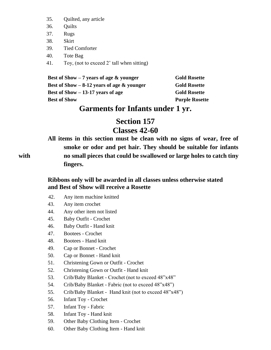- 35. Quilted, any article
- 36. Quilts
- 37. Rugs
- 38. Skirt
- 39. Tied Comforter
- 40. Tote Bag
- 41. Toy, (not to exceed 2' tall when sitting)

| Best of Show $-7$ years of age $\&$ younger | <b>Gold Rosette</b>   |
|---------------------------------------------|-----------------------|
| Best of Show $-8-12$ years of age & younger | <b>Gold Rosette</b>   |
| Best of Show $-13-17$ years of age          | <b>Gold Rosette</b>   |
| <b>Best of Show</b>                         | <b>Purple Rosette</b> |

# **Garments for Infants under 1 yr.**

# **Section 157**

# **Classes 42-60**

**All items in this section must be clean with no signs of wear, free of smoke or odor and pet hair. They should be suitable for infants with no small pieces that could be swallowed or large holes to catch tiny fingers.**

> **Ribbons only will be awarded in all classes unless otherwise stated and Best of Show will receive a Rosette**

- 42. Any item machine knitted
- 43. Any item crochet
- 44. Any other item not listed
- 45. Baby Outfit Crochet
- 46. Baby Outfit Hand knit
- 47. Bootees Crochet
- 48. Bootees Hand knit
- 49. Cap or Bonnet Crochet
- 50. Cap or Bonnet Hand knit
- 51. Christening Gown or Outfit Crochet
- 52. Christening Gown or Outfit Hand knit
- 53. Crib/Baby Blanket Crochet (not to exceed 48"x48"
- 54. Crib/Baby Blanket Fabric (not to exceed 48"x48")
- 55. Crib/Baby Blanket Hand knit (not to exceed 48"x48")
- 56. Infant Toy Crochet
- 57. Infant Toy Fabric
- 58. Infant Toy Hand knit
- 59. Other Baby Clothing Item Crochet
- 60. Other Baby Clothing Item Hand knit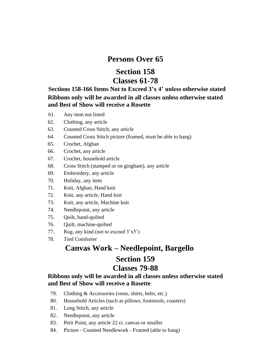### **Persons Over 65**

# **Section 158 Classes 61-78**

 **Sections 158-166 Items Not to Exceed 3'x 4' unless otherwise stated Ribbons only will be awarded in all classes unless otherwise stated and Best of Show will receive a Rosette**

- 61. Any item not listed
- 62. Clothing, any article
- 63. Counted Cross Stitch, any article
- 64. Counted Cross Stitch picture (framed, must be able to hang)
- 65. Crochet, Afghan
- 66. Crochet, any article
- 67. Crochet, household article
- 68. Cross Stitch (stamped or on gingham), any article
- 69. Embroidery, any article
- 70. Holiday, any item
- 71. Knit, Afghan, Hand knit
- 72. Knit, any article, Hand knit
- 73. Knit, any article, Machine knit
- 74. Needlepoint, any article
- 75. Quilt, hand-quilted
- 76. Quilt, machine-quilted
- 77. Rug, any kind (not to exceed  $3'x5'$ )
- 78. Tied Comforter

# **Canvas Work – Needlepoint, Bargello Section 159**

### **Classes 79-88**

#### **Ribbons only will be awarded in all classes unless otherwise stated and Best of Show will receive a Rosette**

- 79. Clothing & Accessories (vests, shirts, belts, etc.)
- 80. Household Articles (such as pillows, footstools, coasters)
- 81. Long Stitch, any article
- 82. Needlepoint, any article
- 83. Petit Point, any article 22 ct. canvas or smaller
- 84. Picture Counted Needlework Framed (able to hang)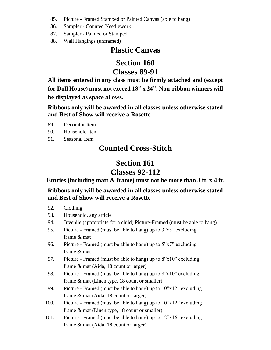- 85. Picture Framed Stamped or Painted Canvas (able to hang)
- 86. Sampler Counted Needlework
- 87. Sampler Painted or Stamped
- 88. Wall Hangings (unframed)

# **Plastic Canvas**

# **Section 160 Classes 89-91**

**All items entered in any class must be firmly attached and (except for Doll House) must not exceed 18" x 24". Non-ribbon winners will be displayed as space allows**.

**Ribbons only will be awarded in all classes unless otherwise stated and Best of Show will receive a Rosette**

- 89. Decorator Item
- 90. Household Item
- 91. Seasonal Item

# **Counted Cross-Stitch**

# **Section 161**

# **Classes 92-112**

**Entries (including matt & frame) must not be more than 3 ft. x 4 ft**.

### **Ribbons only will be awarded in all classes unless otherwise stated and Best of Show will receive a Rosette**

#### 92. Clothing

- 93. Household, any article
- 94. Juvenile (appropriate for a child) Picture-Framed (must be able to hang)
- 95. Picture Framed (must be able to hang) up to 3"x5" excluding frame & mat
- 96. Picture Framed (must be able to hang) up to  $5"x7"$  excluding frame & mat
- 97. Picture Framed (must be able to hang) up to  $8"x10"$  excluding frame & mat (Aida, 18 count or larger)
- 98. Picture Framed (must be able to hang) up to 8"x10" excluding frame & mat (Linen type, 18 count or smaller)
- 99. Picture Framed (must be able to hang) up to  $10"x12"$  excluding frame & mat (Aida, 18 count or larger)
- 100. Picture Framed (must be able to hang) up to  $10"x12"$  excluding frame & mat (Linen type, 18 count or smaller)
- 101. Picture Framed (must be able to hang) up to 12"x16" excluding frame & mat (Aida, 18 count or larger)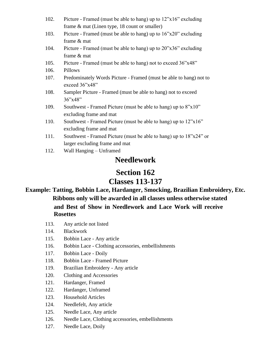- 102. Picture Framed (must be able to hang) up to 12"x16" excluding frame & mat (Linen type, 18 count or smaller)
- 103. Picture Framed (must be able to hang) up to 16"x20" excluding frame & mat
- 104. Picture Framed (must be able to hang) up to 20"x36" excluding frame & mat
- 105. Picture Framed (must be able to hang) not to exceed 36"x48"
- 106. Pillows
- 107. Predominately Words Picture Framed (must be able to hang) not to exceed 36"x48"
- 108. Sampler Picture Framed (must be able to hang) not to exceed 36"x48"
- 109. Southwest Framed Picture (must be able to hang) up to 8"x10" excluding frame and mat
- 110. Southwest Framed Picture (must be able to hang) up to 12"x16" excluding frame and mat
- 111. Southwest Framed Picture (must be able to hang) up to 18"x24" or larger excluding frame and mat
- 112. Wall Hanging Unframed

# **Needlework**

# **Section 162**

# **Classes 113-137**

### **Example: Tatting, Bobbin Lace, Hardanger, Smocking, Brazilian Embroidery, Etc. Ribbons only will be awarded in all classes unless otherwise stated and Best of Show in Needlework and Lace Work will receive Rosettes**

- 113. Any article not listed
- 114. Blackwork
- 115. Bobbin Lace Any article
- 116. Bobbin Lace Clothing accessories, embellishments
- 117. Bobbin Lace Doily
- 118. Bobbin Lace Framed Picture
- 119. Brazilian Embroidery Any article
- 120. Clothing and Accessories
- 121. Hardanger, Framed
- 122. Hardanger, Unframed
- 123. Household Articles
- 124. Needlefelt, Any article
- 125. Needle Lace, Any article
- 126. Needle Lace, Clothing accessories, embellishments
- 127. Needle Lace, Doily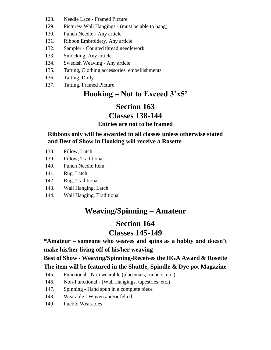- 128. Needle Lace Framed Picture
- 129. Pictures/ Wall Hangings (must be able to hang)
- 130. Punch Needle Any article
- 131. Ribbon Embroidery, Any article
- 132. Sampler Counted thread needlework
- 133. Smocking, Any article
- 134. Swedish Weaving Any article
- 135. Tatting, Clothing accessories, embellishments
- 136. Tatting, Doily
- 137. Tatting, Framed Picture

# **Hooking – Not to Exceed 3'x5'**

# **Section 163**

### **Classes 138-144**

#### **Entries are not to be framed**

**Ribbons only will be awarded in all classes unless otherwise stated and Best of Show in Hooking will receive a Rosette**

- 138. Pillow, Latch
- 139. Pillow, Traditional
- 140. Punch Needle Item
- 141. Rug, Latch
- 142. Rug, Traditional
- 143. Wall Hanging, Latch
- 144. Wall Hanging, Traditional

# **Weaving/Spinning – Amateur**

### **Section 164 Classes 145-149**

### **\*Amateur – someone who weaves and spins as a hobby and doesn't make his/her living off of his/her weaving**

**Best of Show - Weaving/Spinning-Receives the HGA Award & Rosette The item will be featured in the Shuttle, Spindle & Dye pot Magazine**

- 145. Functional Non wearable (placemats, runners, etc.)
- 146. Non-Functional (Wall Hangings, tapestries, etc.)
- 147. Spinning Hand spun in a complete piece
- 148. Wearable Woven and/or felted
- 149. Pueblo Wearables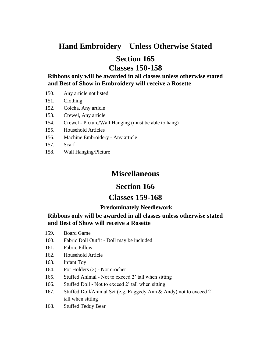# **Hand Embroidery – Unless Otherwise Stated**

# **Section 165 Classes 150-158**

**Ribbons only will be awarded in all classes unless otherwise stated and Best of Show in Embroidery will receive a Rosette**

- 150. Any article not listed
- 151. Clothing
- 152. Colcha, Any article
- 153. Crewel, Any article
- 154. Crewel Picture/Wall Hanging (must be able to hang)
- 155. Household Articles
- 156. Machine Embroidery Any article
- 157. Scarf
- 158. Wall Hanging/Picture

# **Miscellaneous**

### **Section 166**

### **Classes 159-168**

#### **Predominately Needlework**

#### **Ribbons only will be awarded in all classes unless otherwise stated and Best of Show will receive a Rosette**

- 159. Board Game
- 160. Fabric Doll Outfit Doll may be included
- 161. Fabric Pillow
- 162. Household Article
- 163. Infant Toy
- 164. Pot Holders (2) Not crochet
- 165. Stuffed Animal Not to exceed 2' tall when sitting
- 166. Stuffed Doll Not to exceed 2' tall when sitting
- 167. Stuffed Doll/Animal Set (e.g. Raggedy Ann & Andy) not to exceed 2' tall when sitting
- 168. Stuffed Teddy Bear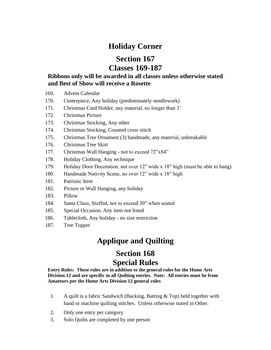# **Holiday Corner**

# **Section 167 Classes 169-187**

#### **Ribbons only will be awarded in all classes unless otherwise stated and Best of Show will receive a Rosette**

- 169. Advent Calendar
- 170. Centerpiece, Any holiday (predominately needlework)
- 171. Christmas Card Holder, any material, no longer than 3'
- 172. Christmas Picture
- 173. Christmas Stocking, Any other
- 174. Christmas Stocking, Counted cross stitch
- 175. Christmas Tree Ornament (3) handmade, any material, unbreakable
- 176. Christmas Tree Skirt
- 177. Christmas Wall Hanging not to exceed 72"x84"
- 178. Holiday Clothing, Any technique
- 179. Holiday Door Decoration, not over 12" wide x 18" high (must be able to hang)
- 180. Handmade Nativity Scene, no over 12" wide x 18" high
- 181. Patriotic Item
- 182. Picture or Wall Hanging, any holiday
- 183. Pillow
- 184. Santa Claus, Stuffed, not to exceed 30" when seated
- 185. Special Occasion, Any item not listed
- 186. Tablecloth, Any holiday no size restriction
- 187. Tree Topper

# **Applique and Quilting**

# **Section 168 Special Rules**

**Entry Rules: These rules are in addition to the general rules for the Home Arts Division 12 and are specific to all Quilting entries. Note: All entries must be from Amateurs per the Home Arts Division 12 general rules**

- 1. A quilt is a fabric Sandwich (Backing, Batting & Top) held together with hand or machine quilting stitches. Unless otherwise stated in Other.
- 2. Only one entry per category
- 3. Solo Quilts are completed by one person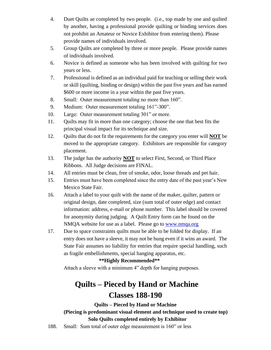- 4. Duet Quilts ae completed by two people. (i.e., top made by one and quilted by another, having a professional provide quilting or binding services does not prohibit an Amateur or Novice Exhibitor from entering them). Please provide names of individuals involved.
- 5. Group Quilts are completed by three or more people. Please provide names of individuals involved.
- 6. Novice is defined as someone who has been involved with quilting for two years or less.
- 7. Professional is defined as an individual paid for teaching or selling their work or skill (quilting, binding or design) within the past five years and has earned \$600 or more income in a year within the past five years.
- 8. Small: Outer measurement totaling no more than 160".
- 9. Medium: Outer measurement totaling 161"-300".
- 10. Large: Outer measurement totaling 301" or more.
- 11. Quilts may fit in more than one category; choose the one that best fits the principal visual impact for its technique and size.
- 12. Quilts that do not fit the requirements for the category you enter will **NOT** be moved to the appropriate category. Exhibitors are responsible for category placement.
- 13. The judge has the authority **NOT** to select First, Second, or Third Place Ribbons. All Judge decisions are FINAL.
- 14. All entries must be clean, free of smoke, odor, loose threads and pet hair.
- 15. Entries must have been completed since the entry date of the past year's New Mexico State Fair.
- 16. Attach a label to your quilt with the name of the maker, quilter, pattern or original design, date completed, size (sum total of outer edge) and contact information: address, e-mail or phone number. This label should be covered for anonymity during judging. A Quilt Entry form can be found on the NMQA website for use as a label. Please go to [www.nmqa.org](http://www.nmqa.org/)
- 17. Due to space constraints quilts must be able to be folded for display. If an entry does not have a sleeve, it may not be hung even if it wins an award. The State Fair assumes no liability for entries that require special handling, such as fragile embellishments, special hanging apparatus, etc.

#### **\*\*Highly Recommended\*\***

Attach a sleeve with a minimum 4" depth for hanging purposes.

# **Quilts – Pieced by Hand or Machine Classes 188-190**

**Quilts – Pieced by Hand or Machine (Piecing is predominant visual element and technique used to create top)**

#### **Solo Quilts completed entirely by Exhibitor**

188. Small: Sum total of outer edge measurement is 160" or less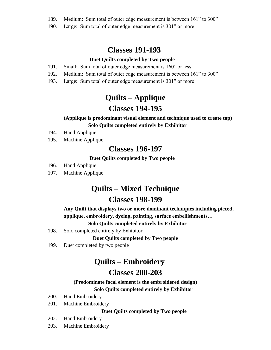- 189. Medium: Sum total of outer edge measurement is between 161" to 300"
- 190. Large: Sum total of outer edge measurement is 301" or more

# **Classes 191-193**

#### **Duet Quilts completed by Two people**

- 191. Small: Sum total of outer edge measurement is 160" or less
- 192. Medium: Sum total of outer edge measurement is between 161" to 300"
- 193. Large: Sum total of outer edge measurement is 301" or more

# **Quilts – Applique**

# **Classes 194-195**

#### **(Applique is predominant visual element and technique used to create top) Solo Quilts completed entirely by Exhibitor**

- 194. Hand Applique
- 195. Machine Applique

### **Classes 196-197**

#### **Duet Quilts completed by Two people**

- 196. Hand Applique
- 197. Machine Applique

# **Quilts – Mixed Technique**

# **Classes 198-199**

 **Any Quilt that displays two or more dominant techniques including pieced, applique, embroidery, dyeing, painting, surface embellishments…**

#### **Solo Quilts completed entirely by Exhibitor**

198. Solo completed entirely by Exhibitor

#### **Duet Quilts completed by Two people**

199. Duet completed by two people

# **Quilts – Embroidery**

### **Classes 200-203**

#### **(Predominate focal element is the embroidered design) Solo Quilts completed entirely by Exhibitor**

- 200. Hand Embroidery
- 201. Machine Embroidery

#### **Duet Quilts completed by Two people**

- 202. Hand Embroidery
- 203. Machine Embroidery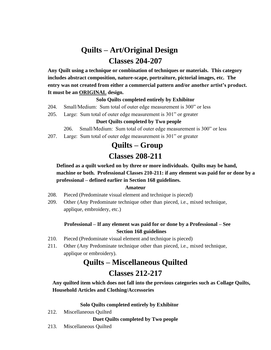# **Quilts – Art/Original Design Classes 204-207**

 **Any Quilt using a technique or combination of techniques or materials. This category includes abstract composition, nature-scape, portraiture, pictorial images, etc. The entry was not created from either a commercial pattern and/or another artist's product. It must be an ORIGINAL design.**

#### **Solo Quilts completed entirely by Exhibitor**

- 204. Small/Medium: Sum total of outer edge measurement is 300" or less
- 205. Large: Sum total of outer edge measurement is 301" or greater

#### **Duet Quilts completed by Two people**

- 206. Small/Medium: Sum total of outer edge measurement is 300" or less
- 207. Large: Sum total of outer edge measurement is 301" or greater

# **Quilts – Group**

# **Classes 208-211**

#### **Defined as a quilt worked on by three or more individuals. Quilts may be hand, machine or both. Professional Classes 210-211: if any element was paid for or done by a professional – defined earlier in Section 168 guidelines.**

#### **Amateur**

- 208. Pieced (Predominate visual element and technique is pieced)
- 209. Other (Any Predominate technique other than pieced, i.e., mixed technique, applique, embroidery, etc.)

#### **Professional – If any element was paid for or done by a Professional – See Section 168 guidelines**

- 210. Pieced (Predominate visual element and technique is pieced)
- 211. Other (Any Predominate technique other than pieced, i.e., mixed technique, applique or embroidery).

# **Quilts – Miscellaneous Quilted**

# **Classes 212-217**

 **Any quilted item which does not fall into the previous categories such as Collage Quilts, Household Articles and Clothing/Accessories**

#### **Solo Quilts completed entirely by Exhibitor**

212. Miscellaneous Quilted

#### **Duet Quilts completed by Two people**

213. Miscellaneous Quilted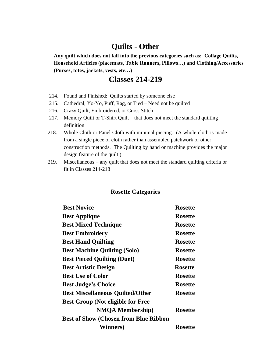# **Quilts - Other**

 **Any quilt which does not fall into the previous categories such as: Collage Quilts, Household Articles (placemats, Table Runners, Pillows…) and Clothing/Accessories (Purses, totes, jackets, vests, etc…)**

# **Classes 214-219**

- 214. Found and Finished: Quilts started by someone else
- 215. Cathedral, Yo-Yo, Puff, Rag, or Tied Need not be quilted
- 216. Crazy Quilt, Embroidered, or Cross Stitch
- 217. Memory Quilt or T-Shirt Quilt that does not meet the standard quilting definition
- 218. Whole Cloth or Panel Cloth with minimal piecing. (A whole cloth is made from a single piece of cloth rather than assembled patchwork or other construction methods. The Quilting by hand or machine provides the major design feature of the quilt.)
- 219. Miscellaneous any quilt that does not meet the standard quilting criteria or fit in Classes 214-218

#### **Rosette Categories**

| <b>Best Novice</b>                           | <b>Rosette</b> |
|----------------------------------------------|----------------|
| <b>Best Applique</b>                         | <b>Rosette</b> |
| <b>Best Mixed Technique</b>                  | <b>Rosette</b> |
| <b>Best Embroidery</b>                       | <b>Rosette</b> |
| <b>Best Hand Quilting</b>                    | <b>Rosette</b> |
| <b>Best Machine Quilting (Solo)</b>          | <b>Rosette</b> |
| <b>Best Pieced Quilting (Duet)</b>           | <b>Rosette</b> |
| <b>Best Artistic Design</b>                  | <b>Rosette</b> |
| <b>Best Use of Color</b>                     | <b>Rosette</b> |
| <b>Best Judge's Choice</b>                   | <b>Rosette</b> |
| <b>Best Miscellaneous Quilted/Other</b>      | <b>Rosette</b> |
| <b>Best Group (Not eligible for Free</b>     |                |
| <b>NMQA Membership</b> )                     | <b>Rosette</b> |
| <b>Best of Show (Chosen from Blue Ribbon</b> |                |
| <b>Winners</b> )                             | <b>Rosette</b> |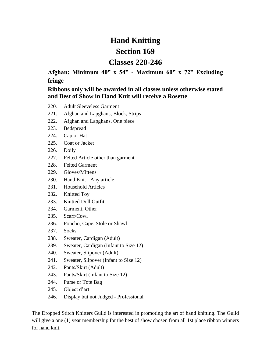# **Hand Knitting**

# **Section 169**

# **Classes 220-246**

**Afghan: Minimum 40" x 54" - Maximum 60" x 72" Excluding fringe**

#### **Ribbons only will be awarded in all classes unless otherwise stated and Best of Show in Hand Knit will receive a Rosette**

- 220. Adult Sleeveless Garment
- 221. Afghan and Lapghans, Block, Strips
- 222. Afghan and Lapghans, One piece
- 223. Bedspread
- 224. Cap or Hat
- 225. Coat or Jacket
- 226. Doily
- 227. Felted Article other than garment
- 228. Felted Garment
- 229. Gloves/Mittens
- 230. Hand Knit Any article
- 231. Household Articles
- 232. Knitted Toy
- 233. Knitted Doll Outfit
- 234. Garment, Other
- 235. Scarf/Cowl
- 236. Poncho, Cape, Stole or Shawl
- 237. Socks
- 238. Sweater, Cardigan (Adult)
- 239. Sweater, Cardigan (Infant to Size 12)
- 240. Sweater, Slipover (Adult)
- 241. Sweater, Slipover (Infant to Size 12)
- 242. Pants/Skirt (Adult)
- 243. Pants/Skirt (Infant to Size 12)
- 244. Purse or Tote Bag
- 245. Object d'art
- 246. Display but not Judged Professional

The Dropped Stitch Knitters Guild is interested in promoting the art of hand knitting. The Guild will give a one (1) year membership for the best of show chosen from all 1st place ribbon winners for hand knit.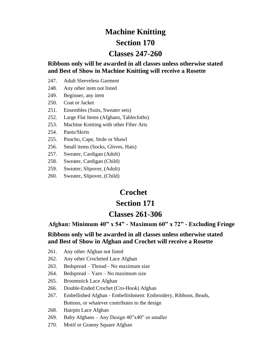# **Machine Knitting Section 170 Classes 247-260**

**Ribbons only will be awarded in all classes unless otherwise stated and Best of Show in Machine Knitting will receive a Rosette**

- 247. Adult Sleeveless Garment
- 248. Any other item not listed
- 249. Beginner, any item
- 250. Coat or Jacket
- 251. Ensembles (Suits, Sweater sets)
- 252. Large Flat Items (Afghans, Tablecloths)
- 253. Machine Knitting with other Fiber Arts
- 254. Pants/Skirts
- 255. Poncho, Cape, Stole or Shawl
- 256. Small items (Socks, Gloves, Hats)
- 257. Sweater, Cardigan (Adult)
- 258. Sweater, Cardigan (Child)
- 259. Sweater, Slipover, (Adult)
- 260. Sweater, Slipover, (Child)

### **Crochet**

### **Section 171**

### **Classes 261-306**

 **Afghan: Minimum 40" x 54" - Maximum 60" x 72" - Excluding Fringe**

#### **Ribbons only will be awarded in all classes unless otherwise stated and Best of Show in Afghan and Crochet will receive a Rosette**

- 261. Any other Afghan not listed
- 262. Any other Crocheted Lace Afghan
- 263. Bedspread Thread No maximum size
- 264. Bedspread Yarn No maximum size
- 265. Broomstick Lace Afghan
- 266. Double-Ended Crochet (Cro-Hook) Afghan
- 267. Embellished Afghan Embellishment: Embroidery, Ribbons, Beads, Buttons, or whatever contributes to the design
- 268. Hairpin Lace Afghan
- 269. Baby Afghans Any Design 40"x40" or smaller
- 270. Motif or Granny Square Afghan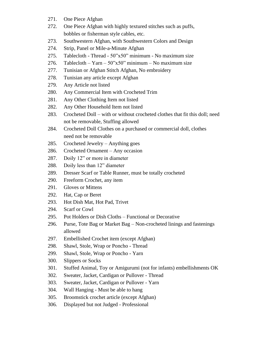- 271. One Piece Afghan
- 272. One Piece Afghan with highly textured stitches such as puffs, bobbles or fisherman style cables, etc.
- 273. Southwestern Afghan, with Southwestern Colors and Design
- 274. Strip, Panel or Mile-a-Minute Afghan
- 275. Tablecloth Thread 50"x50" minimum No maximum size
- 276. Tablecloth Yarn  $50"x50"$  minimum No maximum size
- 277. Tunisian or Afghan Stitch Afghan, No embroidery
- 278. Tunisian any article except Afghan
- 279. Any Article not listed
- 280. Any Commercial Item with Crocheted Trim
- 281. Any Other Clothing Item not listed
- 282. Any Other Household Item not listed
- 283. Crocheted Doll with or without crocheted clothes that fit this doll; need not be removable, Stuffing allowed
- 284. Crocheted Doll Clothes on a purchased or commercial doll, clothes need not be removable
- 285. Crocheted Jewelry Anything goes
- 286. Crocheted Ornament Any occasion
- 287. Doily 12" or more in diameter
- 288. Doily less than 12" diameter
- 289. Dresser Scarf or Table Runner, must be totally crocheted
- 290. Freeform Crochet, any item
- 291. Gloves or Mittens
- 292. Hat, Cap or Beret
- 293. Hot Dish Mat, Hot Pad, Trivet
- 294. Scarf or Cowl
- 295. Pot Holders or Dish Cloths Functional or Decorative
- 296. Purse, Tote Bag or Market Bag Non-crocheted linings and fastenings allowed
- 297. Embellished Crochet item (except Afghan)
- 298. Shawl, Stole, Wrap or Poncho Thread
- 299. Shawl, Stole, Wrap or Poncho Yarn
- 300. Slippers or Socks
- 301. Stuffed Animal, Toy or Amigurumi (not for infants) embellishments OK
- 302. Sweater, Jacket, Cardigan or Pullover Thread
- 303. Sweater, Jacket, Cardigan or Pullover Yarn
- 304. Wall Hanging Must be able to hang
- 305. Broomstick crochet article (except Afghan)
- 306. Displayed but not Judged Professional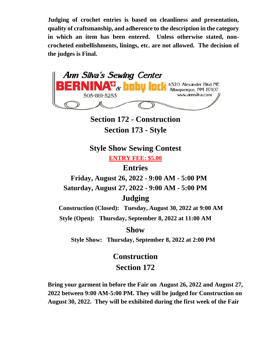**Judging of crochet entries is based on cleanliness and presentation, quality of craftsmanship, and adherence to the description in the category in which an item has been entered. Unless otherwise stated, noncrocheted embellishments, linings, etc. are not allowed. The decision of the judges is Final.** 



**Section 172 - Construction Section 173 - Style**

**Style Show Sewing Contest**

**ENTRY FEE: \$5.00**

**Entries**

 **Friday, August 26, 2022 - 9:00 AM - 5:00 PM**

**Saturday, August 27, 2022 - 9:00 AM - 5:00 PM**

# **Judging**

 **Construction (Closed): Tuesday, August 30, 2022 at 9:00 AM**

**Style (Open): Thursday, September 8, 2022 at 11:00 AM**

### **Show**

 **Style Show: Thursday, September 8, 2022 at 2:00 PM**

# **Construction Section 172**

**Bring your garment in before the Fair on August 26, 2022 and August 27, 2022 between 9:00 AM-5:00 PM. They will be judged for Construction on August 30, 2022. They will be exhibited during the first week of the Fair**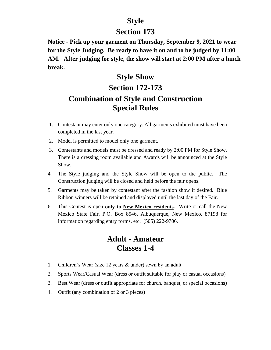# **Style**

# **Section 173**

**Notice - Pick up your garment on Thursday, September 9, 2021 to wear for the Style Judging. Be ready to have it on and to be judged by 11:00 AM. After judging for style, the show will start at 2:00 PM after a lunch break.**

# **Style Show Section 172-173 Combination of Style and Construction Special Rules**

- 1. Contestant may enter only one category. All garments exhibited must have been completed in the last year.
- 2. Model is permitted to model only one garment.
- 3. Contestants and models must be dressed and ready by 2:00 PM for Style Show. There is a dressing room available and Awards will be announced at the Style Show.
- 4. The Style judging and the Style Show will be open to the public. The Construction judging will be closed and held before the fair opens.
- 5. Garments may be taken by contestant after the fashion show if desired. Blue Ribbon winners will be retained and displayed until the last day of the Fair.
- 6. This Contest is open **only to New Mexico residents**. Write or call the New Mexico State Fair, P.O. Box 8546, Albuquerque, New Mexico, 87198 for information regarding entry forms, etc. (505) 222-9706.

# **Adult - Amateur Classes 1-4**

- 1. Children's Wear (size 12 years & under) sewn by an adult
- 2. Sports Wear/Casual Wear (dress or outfit suitable for play or casual occasions)
- 3. Best Wear (dress or outfit appropriate for church, banquet, or special occasions)
- 4. Outfit (any combination of 2 or 3 pieces)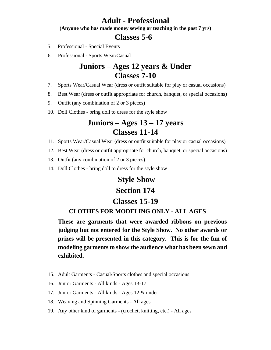### **Adult - Professional**

**(Anyone who has made money sewing or teaching in the past 7 yrs)**

### **Classes 5-6**

- 5. Professional Special Events
- 6. Professional Sports Wear/Casual

# **Juniors – Ages 12 years & Under Classes 7-10**

- 7. Sports Wear/Casual Wear (dress or outfit suitable for play or casual occasions)
- 8. Best Wear (dress or outfit appropriate for church, banquet, or special occasions)
- 9. Outfit (any combination of 2 or 3 pieces)
- 10. Doll Clothes bring doll to dress for the style show

# **Juniors – Ages 13 – 17 years Classes 11-14**

- 11. Sports Wear/Casual Wear (dress or outfit suitable for play or casual occasions)
- 12. Best Wear (dress or outfit appropriate for church, banquet, or special occasions)
- 13. Outfit (any combination of 2 or 3 pieces)
- 14. Doll Clothes bring doll to dress for the style show

# **Style Show Section 174**

#### **Classes 15-19**

#### **CLOTHES FOR MODELING ONLY - ALL AGES**

**These are garments that were awarded ribbons on previous judging but not entered for the Style Show. No other awards or prizes will be presented in this category. This is for the fun of modeling garments to show the audience what has been sewn and exhibited.**

- 15. Adult Garments Casual/Sports clothes and special occasions
- 16. Junior Garments All kinds Ages 13-17
- 17. Junior Garments All kinds Ages 12 & under
- 18. Weaving and Spinning Garments All ages
- 19. Any other kind of garments (crochet, knitting, etc.) All ages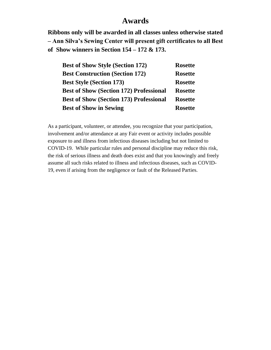# **Awards**

**Ribbons only will be awarded in all classes unless otherwise stated – Ann Silva's Sewing Center will present gift certificates to all Best of Show winners in Section 154 – 172 & 173.**

| <b>Rosette</b> |
|----------------|
| <b>Rosette</b> |
| <b>Rosette</b> |
| <b>Rosette</b> |
| <b>Rosette</b> |
| <b>Rosette</b> |
|                |

As a participant, volunteer, or attendee, you recognize that your participation, involvement and/or attendance at any Fair event or activity includes possible exposure to and illness from infectious diseases including but not limited to COVID-19. While particular rules and personal discipline may reduce this risk, the risk of serious illness and death does exist and that you knowingly and freely assume all such risks related to illness and infectious diseases, such as COVID-19, even if arising from the negligence or fault of the Released Parties.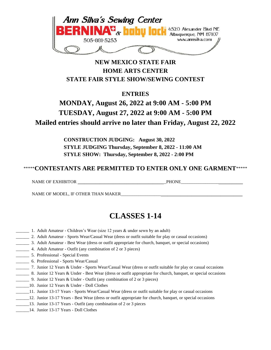

### **NEW MEXICO STATE FAIR HOME ARTS CENTER STATE FAIR STYLE SHOW/SEWING CONTEST**

**ENTRIES**

# **MONDAY, August 26, 2022 at 9:00 AM - 5:00 PM TUESDAY, August 27, 2022 at 9:00 AM - 5:00 PM Mailed entries should arrive no later than Friday, August 22, 2022**

**CONSTRUCTION JUDGING: August 30, 2022 STYLE JUDGING Thursday, September 8, 2022 - 11:00 AM STYLE SHOW: Thursday, September 8, 2022 - 2:00 PM**

### \*\*\*\*\***CONTESTANTS ARE PERMITTED TO ENTER ONLY ONE GARMENT**\*\*\*\*\*

NAME OF EXHIBITOR **\_\_\_\_\_\_\_\_\_\_\_\_\_\_\_\_\_\_\_\_\_\_\_\_\_\_\_\_\_\_\_\_\_\_\_\_\_\_\_**\_PHONE\_\_\_\_\_\_\_\_\_\_\_\_\_\_\_\_\_**\_\_\_\_\_\_\_\_\_\_\_**

NAME OF MODEL, IF OTHER THAN MAKER\_\_\_\_\_\_\_\_\_\_\_\_\_\_\_\_\_\_**\_\_\_\_\_\_\_\_\_\_\_\_\_\_\_\_\_\_\_\_\_\_\_\_\_\_\_\_\_\_\_\_\_\_\_\_\_**

# **CLASSES 1-14**

- 1. Adult Amateur Children's Wear (size 12 years & under sewn by an adult)
- \_\_\_\_\_\_ 2. Adult Amateur Sports Wear/Casual Wear (dress or outfit suitable for play or casual occasions)
- \_\_\_\_\_\_ 3. Adult Amateur Best Wear (dress or outfit appropriate for church, banquet, or special occasions)
- \_\_\_\_\_\_ 4. Adult Amateur Outfit (any combination of 2 or 3 pieces)
- \_\_\_\_\_\_ 5. Professional Special Events
- \_\_\_\_\_\_ 6. Professional Sports Wear/Casual
- \_\_\_\_\_\_ 7. Junior 12 Years & Under Sports Wear/Casual Wear (dress or outfit suitable for play or casual occasions
- \_\_\_\_\_\_ 8. Junior 12 Years & Under Best Wear (dress or outfit appropriate for church, banquet, or special occasions
- \_\_\_\_\_\_ 9. Junior 12 Years & Under Outfit (any combination of 2 or 3 pieces)
- \_\_\_\_\_\_10. Junior 12 Years & Under Doll Clothes
- \_\_\_\_\_\_11. Junior 13-17 Years Sports Wear/Casual Wear (dress or outfit suitable for play or casual occasions
	- \_\_\_\_\_\_12. Junior 13-17 Years Best Wear (dress or outfit appropriate for church, banquet, or special occasions
- \_\_\_\_\_\_13. Junior 13-17 Years Outfit (any combination of 2 or 3 pieces
- \_\_\_\_\_\_14. Junior 13-17 Years Doll Clothes